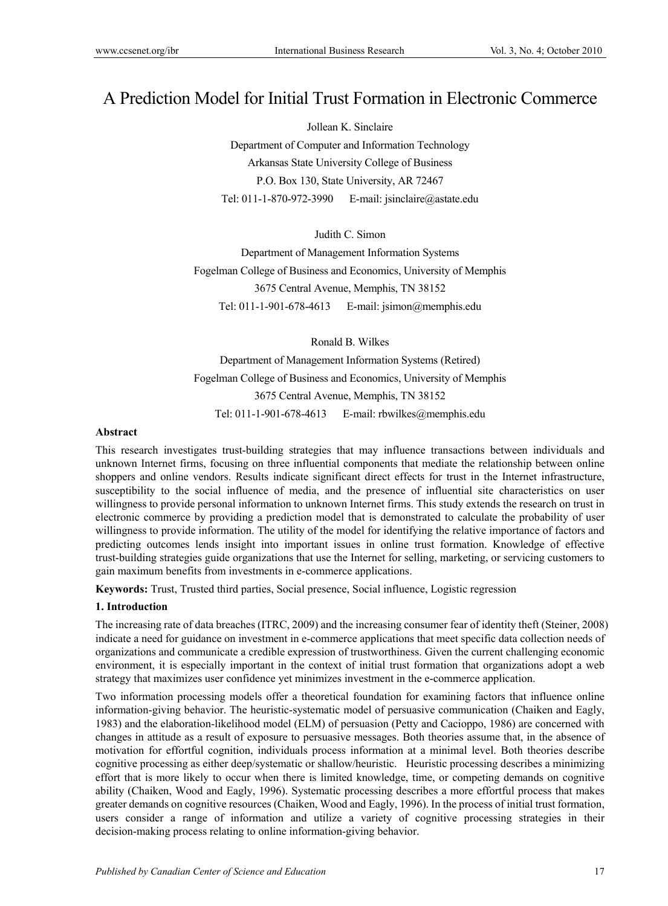# A Prediction Model for Initial Trust Formation in Electronic Commerce

Jollean K. Sinclaire Department of Computer and Information Technology Arkansas State University College of Business P.O. Box 130, State University, AR 72467 Tel: 011-1-870-972-3990 E-mail: jsinclaire@astate.edu

# Judith C. Simon

Department of Management Information Systems Fogelman College of Business and Economics, University of Memphis 3675 Central Avenue, Memphis, TN 38152 Tel: 011-1-901-678-4613 E-mail: jsimon@memphis.edu

Ronald B. Wilkes

Department of Management Information Systems (Retired) Fogelman College of Business and Economics, University of Memphis 3675 Central Avenue, Memphis, TN 38152 Tel: 011-1-901-678-4613 E-mail: rbwilkes@memphis.edu

#### **Abstract**

This research investigates trust-building strategies that may influence transactions between individuals and unknown Internet firms, focusing on three influential components that mediate the relationship between online shoppers and online vendors. Results indicate significant direct effects for trust in the Internet infrastructure, susceptibility to the social influence of media, and the presence of influential site characteristics on user willingness to provide personal information to unknown Internet firms. This study extends the research on trust in electronic commerce by providing a prediction model that is demonstrated to calculate the probability of user willingness to provide information. The utility of the model for identifying the relative importance of factors and predicting outcomes lends insight into important issues in online trust formation. Knowledge of effective trust-building strategies guide organizations that use the Internet for selling, marketing, or servicing customers to gain maximum benefits from investments in e-commerce applications.

**Keywords:** Trust, Trusted third parties, Social presence, Social influence, Logistic regression

# **1. Introduction**

The increasing rate of data breaches (ITRC, 2009) and the increasing consumer fear of identity theft (Steiner, 2008) indicate a need for guidance on investment in e-commerce applications that meet specific data collection needs of organizations and communicate a credible expression of trustworthiness. Given the current challenging economic environment, it is especially important in the context of initial trust formation that organizations adopt a web strategy that maximizes user confidence yet minimizes investment in the e-commerce application.

Two information processing models offer a theoretical foundation for examining factors that influence online information-giving behavior. The heuristic-systematic model of persuasive communication (Chaiken and Eagly, 1983) and the elaboration-likelihood model (ELM) of persuasion (Petty and Cacioppo, 1986) are concerned with changes in attitude as a result of exposure to persuasive messages. Both theories assume that, in the absence of motivation for effortful cognition, individuals process information at a minimal level. Both theories describe cognitive processing as either deep/systematic or shallow/heuristic. Heuristic processing describes a minimizing effort that is more likely to occur when there is limited knowledge, time, or competing demands on cognitive ability (Chaiken, Wood and Eagly, 1996). Systematic processing describes a more effortful process that makes greater demands on cognitive resources (Chaiken, Wood and Eagly, 1996). In the process of initial trust formation, users consider a range of information and utilize a variety of cognitive processing strategies in their decision-making process relating to online information-giving behavior.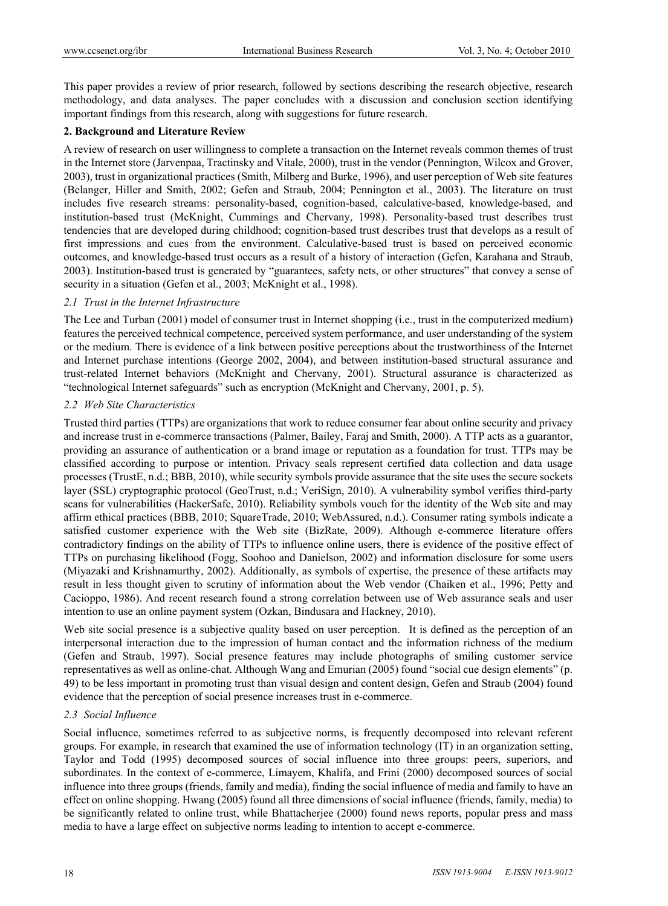This paper provides a review of prior research, followed by sections describing the research objective, research methodology, and data analyses. The paper concludes with a discussion and conclusion section identifying important findings from this research, along with suggestions for future research.

# **2. Background and Literature Review**

A review of research on user willingness to complete a transaction on the Internet reveals common themes of trust in the Internet store (Jarvenpaa, Tractinsky and Vitale, 2000), trust in the vendor (Pennington, Wilcox and Grover, 2003), trust in organizational practices (Smith, Milberg and Burke, 1996), and user perception of Web site features (Belanger, Hiller and Smith, 2002; Gefen and Straub, 2004; Pennington et al., 2003). The literature on trust includes five research streams: personality-based, cognition-based, calculative-based, knowledge-based, and institution-based trust (McKnight, Cummings and Chervany, 1998). Personality-based trust describes trust tendencies that are developed during childhood; cognition-based trust describes trust that develops as a result of first impressions and cues from the environment. Calculative-based trust is based on perceived economic outcomes, and knowledge-based trust occurs as a result of a history of interaction (Gefen, Karahana and Straub, 2003). Institution-based trust is generated by "guarantees, safety nets, or other structures" that convey a sense of security in a situation (Gefen et al., 2003; McKnight et al., 1998).

# *2.1 Trust in the Internet Infrastructure*

The Lee and Turban (2001) model of consumer trust in Internet shopping (i.e., trust in the computerized medium) features the perceived technical competence, perceived system performance, and user understanding of the system or the medium. There is evidence of a link between positive perceptions about the trustworthiness of the Internet and Internet purchase intentions (George 2002, 2004), and between institution-based structural assurance and trust-related Internet behaviors (McKnight and Chervany, 2001). Structural assurance is characterized as "technological Internet safeguards" such as encryption (McKnight and Chervany, 2001, p. 5).

#### *2.2 Web Site Characteristics*

Trusted third parties (TTPs) are organizations that work to reduce consumer fear about online security and privacy and increase trust in e-commerce transactions (Palmer, Bailey, Faraj and Smith, 2000). A TTP acts as a guarantor, providing an assurance of authentication or a brand image or reputation as a foundation for trust. TTPs may be classified according to purpose or intention. Privacy seals represent certified data collection and data usage processes (TrustE, n.d.; BBB, 2010), while security symbols provide assurance that the site uses the secure sockets layer (SSL) cryptographic protocol (GeoTrust, n.d.; VeriSign, 2010). A vulnerability symbol verifies third-party scans for vulnerabilities (HackerSafe, 2010). Reliability symbols vouch for the identity of the Web site and may affirm ethical practices (BBB, 2010; SquareTrade, 2010; WebAssured, n.d.). Consumer rating symbols indicate a satisfied customer experience with the Web site (BizRate, 2009). Although e-commerce literature offers contradictory findings on the ability of TTPs to influence online users, there is evidence of the positive effect of TTPs on purchasing likelihood (Fogg, Soohoo and Danielson, 2002) and information disclosure for some users (Miyazaki and Krishnamurthy, 2002). Additionally, as symbols of expertise, the presence of these artifacts may result in less thought given to scrutiny of information about the Web vendor (Chaiken et al., 1996; Petty and Cacioppo, 1986). And recent research found a strong correlation between use of Web assurance seals and user intention to use an online payment system (Ozkan, Bindusara and Hackney, 2010).

Web site social presence is a subjective quality based on user perception. It is defined as the perception of an interpersonal interaction due to the impression of human contact and the information richness of the medium (Gefen and Straub, 1997). Social presence features may include photographs of smiling customer service representatives as well as online-chat. Although Wang and Emurian (2005) found "social cue design elements" (p. 49) to be less important in promoting trust than visual design and content design, Gefen and Straub (2004) found evidence that the perception of social presence increases trust in e-commerce.

#### *2.3 Social Influence*

Social influence, sometimes referred to as subjective norms, is frequently decomposed into relevant referent groups. For example, in research that examined the use of information technology (IT) in an organization setting, Taylor and Todd (1995) decomposed sources of social influence into three groups: peers, superiors, and subordinates. In the context of e-commerce, Limayem, Khalifa, and Frini (2000) decomposed sources of social influence into three groups (friends, family and media), finding the social influence of media and family to have an effect on online shopping. Hwang (2005) found all three dimensions of social influence (friends, family, media) to be significantly related to online trust, while Bhattacherjee (2000) found news reports, popular press and mass media to have a large effect on subjective norms leading to intention to accept e-commerce.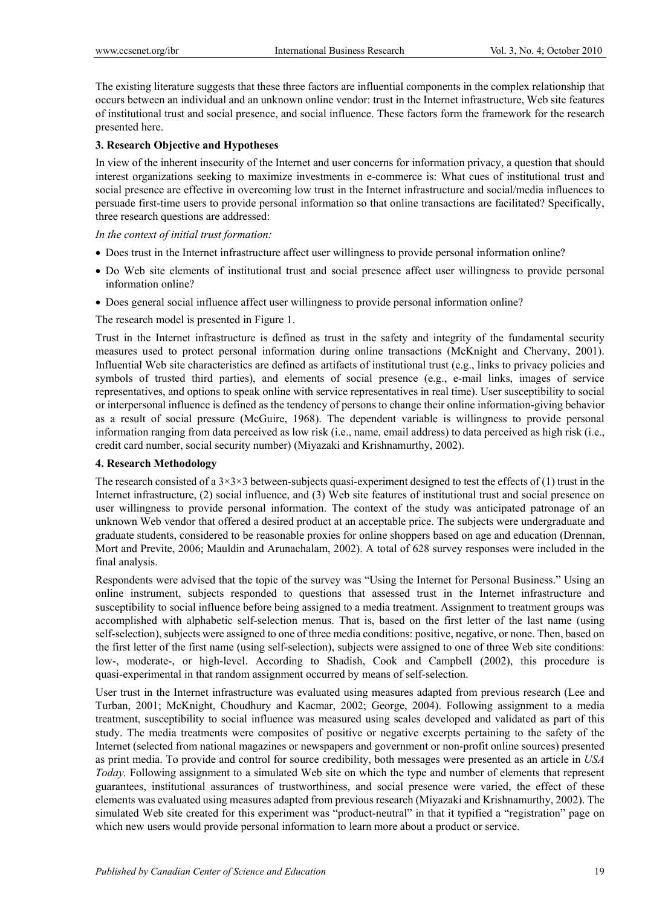The existing literature suggests that these three factors are influential components in the complex relationship that occurs between an individual and an unknown online vendor: trust in the Internet infrastructure, Web site features of institutional trust and social presence, and social influence. These factors form the framework for the research presented here.

# **3. Research Objective and Hypotheses**

In view of the inherent insecurity of the Internet and user concerns for information privacy, a question that should interest organizations seeking to maximize investments in e-commerce is: What cues of institutional trust and social presence are effective in overcoming low trust in the Internet infrastructure and social/media influences to persuade first-time users to provide personal information so that online transactions are facilitated? Specifically, three research questions are addressed:

*In the context of initial trust formation:*

- Does trust in the Internet infrastructure affect user willingness to provide personal information online?
- Do Web site elements of institutional trust and social presence affect user willingness to provide personal information online?
- Does general social influence affect user willingness to provide personal information online?

The research model is presented in Figure 1.

Trust in the Internet infrastructure is defined as trust in the safety and integrity of the fundamental security measures used to protect personal information during online transactions (McKnight and Chervany, 2001). Influential Web site characteristics are defined as artifacts of institutional trust (e.g., links to privacy policies and symbols of trusted third parties), and elements of social presence (e.g., e-mail links, images of service representatives, and options to speak online with service representatives in real time). User susceptibility to social or interpersonal influence is defined as the tendency of persons to change their online information-giving behavior as a result of social pressure (McGuire, 1968). The dependent variable is willingness to provide personal information ranging from data perceived as low risk (i.e., name, email address) to data perceived as high risk (i.e., credit card number, social security number) (Miyazaki and Krishnamurthy, 2002).

### **4. Research Methodology**

The research consisted of a  $3\times3\times3$  between-subjects quasi-experiment designed to test the effects of (1) trust in the Internet infrastructure, (2) social influence, and (3) Web site features of institutional trust and social presence on user willingness to provide personal information. The context of the study was anticipated patronage of an unknown Web vendor that offered a desired product at an acceptable price. The subjects were undergraduate and graduate students, considered to be reasonable proxies for online shoppers based on age and education (Drennan, Mort and Previte, 2006; Mauldin and Arunachalam, 2002). A total of 628 survey responses were included in the final analysis.

Respondents were advised that the topic of the survey was "Using the Internet for Personal Business." Using an online instrument, subjects responded to questions that assessed trust in the Internet infrastructure and susceptibility to social influence before being assigned to a media treatment. Assignment to treatment groups was accomplished with alphabetic self-selection menus. That is, based on the first letter of the last name (using self-selection), subjects were assigned to one of three media conditions: positive, negative, or none. Then, based on the first letter of the first name (using self-selection), subjects were assigned to one of three Web site conditions: low-, moderate-, or high-level. According to Shadish, Cook and Campbell (2002), this procedure is quasi-experimental in that random assignment occurred by means of self-selection.

User trust in the Internet infrastructure was evaluated using measures adapted from previous research (Lee and Turban, 2001; McKnight, Choudhury and Kacmar, 2002; George, 2004). Following assignment to a media treatment, susceptibility to social influence was measured using scales developed and validated as part of this study. The media treatments were composites of positive or negative excerpts pertaining to the safety of the Internet (selected from national magazines or newspapers and government or non-profit online sources) presented as print media. To provide and control for source credibility, both messages were presented as an article in *USA Today.* Following assignment to a simulated Web site on which the type and number of elements that represent guarantees, institutional assurances of trustworthiness, and social presence were varied, the effect of these elements was evaluated using measures adapted from previous research (Miyazaki and Krishnamurthy, 2002). The simulated Web site created for this experiment was "product-neutral" in that it typified a "registration" page on which new users would provide personal information to learn more about a product or service.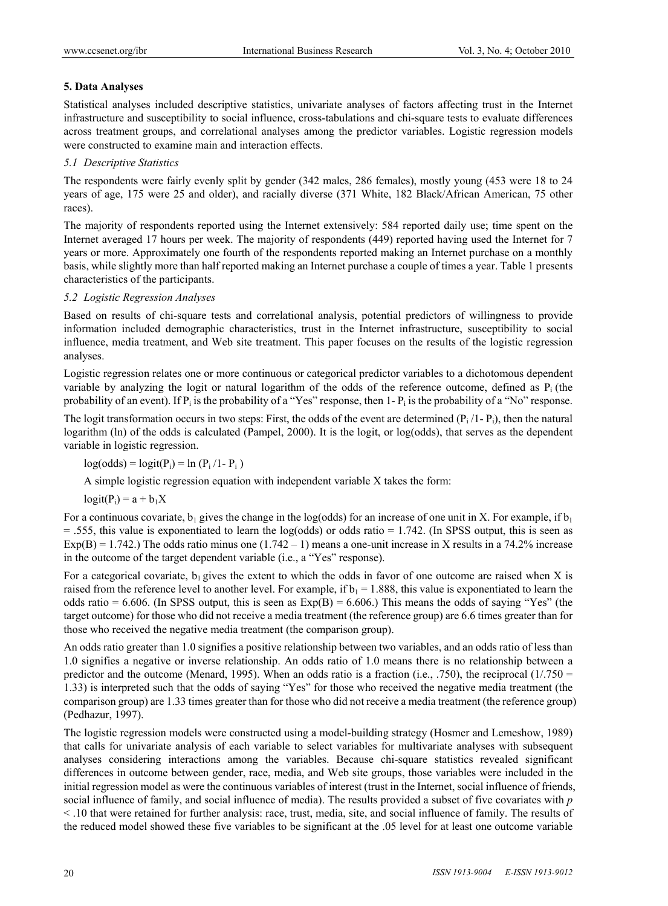# **5. Data Analyses**

Statistical analyses included descriptive statistics, univariate analyses of factors affecting trust in the Internet infrastructure and susceptibility to social influence, cross-tabulations and chi-square tests to evaluate differences across treatment groups, and correlational analyses among the predictor variables. Logistic regression models were constructed to examine main and interaction effects.

# *5.1 Descriptive Statistics*

The respondents were fairly evenly split by gender (342 males, 286 females), mostly young (453 were 18 to 24 years of age, 175 were 25 and older), and racially diverse (371 White, 182 Black/African American, 75 other races).

The majority of respondents reported using the Internet extensively: 584 reported daily use; time spent on the Internet averaged 17 hours per week. The majority of respondents (449) reported having used the Internet for 7 years or more. Approximately one fourth of the respondents reported making an Internet purchase on a monthly basis, while slightly more than half reported making an Internet purchase a couple of times a year. Table 1 presents characteristics of the participants.

# *5.2 Logistic Regression Analyses*

Based on results of chi-square tests and correlational analysis, potential predictors of willingness to provide information included demographic characteristics, trust in the Internet infrastructure, susceptibility to social influence, media treatment, and Web site treatment. This paper focuses on the results of the logistic regression analyses.

Logistic regression relates one or more continuous or categorical predictor variables to a dichotomous dependent variable by analyzing the logit or natural logarithm of the odds of the reference outcome, defined as  $P_i$  (the probability of an event). If  $P_i$  is the probability of a "Yes" response, then 1- $P_i$  is the probability of a "No" response.

The logit transformation occurs in two steps: First, the odds of the event are determined  $(P_i / 1 - P_i)$ , then the natural logarithm (ln) of the odds is calculated (Pampel, 2000). It is the logit, or log(odds), that serves as the dependent variable in logistic regression.

 $log(odds) = logit(P<sub>i</sub>) = ln (P<sub>i</sub>/1-P<sub>i</sub>)$ 

A simple logistic regression equation with independent variable X takes the form:

 $logit(P_i) = a + b_1X$ 

For a continuous covariate,  $b_1$  gives the change in the log(odds) for an increase of one unit in X. For example, if  $b_1$  $= .555$ , this value is exponentiated to learn the log(odds) or odds ratio  $= 1.742$ . (In SPSS output, this is seen as  $Exp(B) = 1.742$ .) The odds ratio minus one  $(1.742 - 1)$  means a one-unit increase in X results in a 74.2% increase in the outcome of the target dependent variable (i.e., a "Yes" response).

For a categorical covariate,  $b_1$  gives the extent to which the odds in favor of one outcome are raised when X is raised from the reference level to another level. For example, if  $b_1 = 1.888$ , this value is exponentiated to learn the odds ratio = 6.606. (In SPSS output, this is seen as  $Exp(B) = 6.606$ .) This means the odds of saying "Yes" (the target outcome) for those who did not receive a media treatment (the reference group) are 6.6 times greater than for those who received the negative media treatment (the comparison group).

An odds ratio greater than 1.0 signifies a positive relationship between two variables, and an odds ratio of less than 1.0 signifies a negative or inverse relationship. An odds ratio of 1.0 means there is no relationship between a predictor and the outcome (Menard, 1995). When an odds ratio is a fraction (i.e., .750), the reciprocal (1/.750 = 1.33) is interpreted such that the odds of saying "Yes" for those who received the negative media treatment (the comparison group) are 1.33 times greater than for those who did not receive a media treatment (the reference group) (Pedhazur, 1997).

The logistic regression models were constructed using a model-building strategy (Hosmer and Lemeshow, 1989) that calls for univariate analysis of each variable to select variables for multivariate analyses with subsequent analyses considering interactions among the variables. Because chi-square statistics revealed significant differences in outcome between gender, race, media, and Web site groups, those variables were included in the initial regression model as were the continuous variables of interest (trust in the Internet, social influence of friends, social influence of family, and social influence of media). The results provided a subset of five covariates with *p*  < .10 that were retained for further analysis: race, trust, media, site, and social influence of family. The results of the reduced model showed these five variables to be significant at the .05 level for at least one outcome variable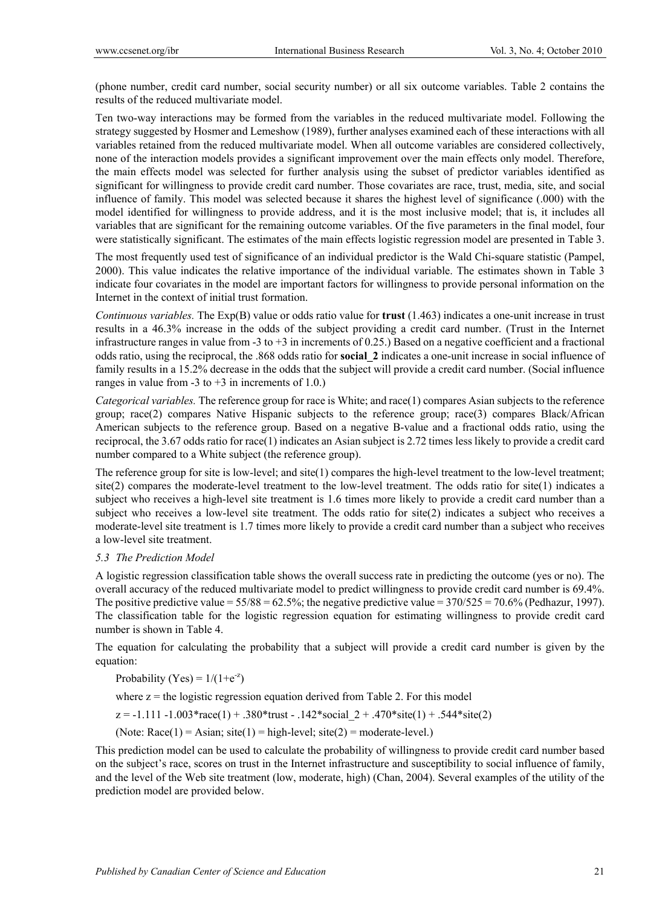(phone number, credit card number, social security number) or all six outcome variables. Table 2 contains the results of the reduced multivariate model.

Ten two-way interactions may be formed from the variables in the reduced multivariate model. Following the strategy suggested by Hosmer and Lemeshow (1989), further analyses examined each of these interactions with all variables retained from the reduced multivariate model. When all outcome variables are considered collectively, none of the interaction models provides a significant improvement over the main effects only model. Therefore, the main effects model was selected for further analysis using the subset of predictor variables identified as significant for willingness to provide credit card number. Those covariates are race, trust, media, site, and social influence of family. This model was selected because it shares the highest level of significance (.000) with the model identified for willingness to provide address, and it is the most inclusive model; that is, it includes all variables that are significant for the remaining outcome variables. Of the five parameters in the final model, four were statistically significant. The estimates of the main effects logistic regression model are presented in Table 3.

The most frequently used test of significance of an individual predictor is the Wald Chi-square statistic (Pampel, 2000). This value indicates the relative importance of the individual variable. The estimates shown in Table 3 indicate four covariates in the model are important factors for willingness to provide personal information on the Internet in the context of initial trust formation.

*Continuous variables.* The Exp(B) value or odds ratio value for **trust** (1.463) indicates a one-unit increase in trust results in a 46.3% increase in the odds of the subject providing a credit card number. (Trust in the Internet infrastructure ranges in value from -3 to +3 in increments of 0.25.) Based on a negative coefficient and a fractional odds ratio, using the reciprocal, the .868 odds ratio for **social\_2** indicates a one-unit increase in social influence of family results in a 15.2% decrease in the odds that the subject will provide a credit card number. (Social influence ranges in value from  $-3$  to  $+3$  in increments of 1.0.)

*Categorical variables.* The reference group for race is White; and race(1) compares Asian subjects to the reference group; race(2) compares Native Hispanic subjects to the reference group; race(3) compares Black/African American subjects to the reference group. Based on a negative B-value and a fractional odds ratio, using the reciprocal, the 3.67 odds ratio for race(1) indicates an Asian subject is 2.72 times less likely to provide a credit card number compared to a White subject (the reference group).

The reference group for site is low-level; and site(1) compares the high-level treatment to the low-level treatment; site(2) compares the moderate-level treatment to the low-level treatment. The odds ratio for site(1) indicates a subject who receives a high-level site treatment is 1.6 times more likely to provide a credit card number than a subject who receives a low-level site treatment. The odds ratio for site(2) indicates a subject who receives a moderate-level site treatment is 1.7 times more likely to provide a credit card number than a subject who receives a low-level site treatment.

# *5.3 The Prediction Model*

A logistic regression classification table shows the overall success rate in predicting the outcome (yes or no). The overall accuracy of the reduced multivariate model to predict willingness to provide credit card number is 69.4%. The positive predictive value =  $55/88 = 62.5\%$ ; the negative predictive value =  $370/525 = 70.6\%$  (Pedhazur, 1997). The classification table for the logistic regression equation for estimating willingness to provide credit card number is shown in Table 4.

The equation for calculating the probability that a subject will provide a credit card number is given by the equation:

Probability (Yes) =  $1/(1+e^{-z})$ 

where  $z =$  the logistic regression equation derived from Table 2. For this model

 $z = -1.111 - 1.003* \text{race}(1) + .380* \text{trust} - .142* \text{social}_2 + .470* \text{site}(1) + .544* \text{site}(2)$ 

(Note: Race(1) = Asian; site(1) = high-level; site(2) = moderate-level.)

This prediction model can be used to calculate the probability of willingness to provide credit card number based on the subject's race, scores on trust in the Internet infrastructure and susceptibility to social influence of family, and the level of the Web site treatment (low, moderate, high) (Chan, 2004). Several examples of the utility of the prediction model are provided below.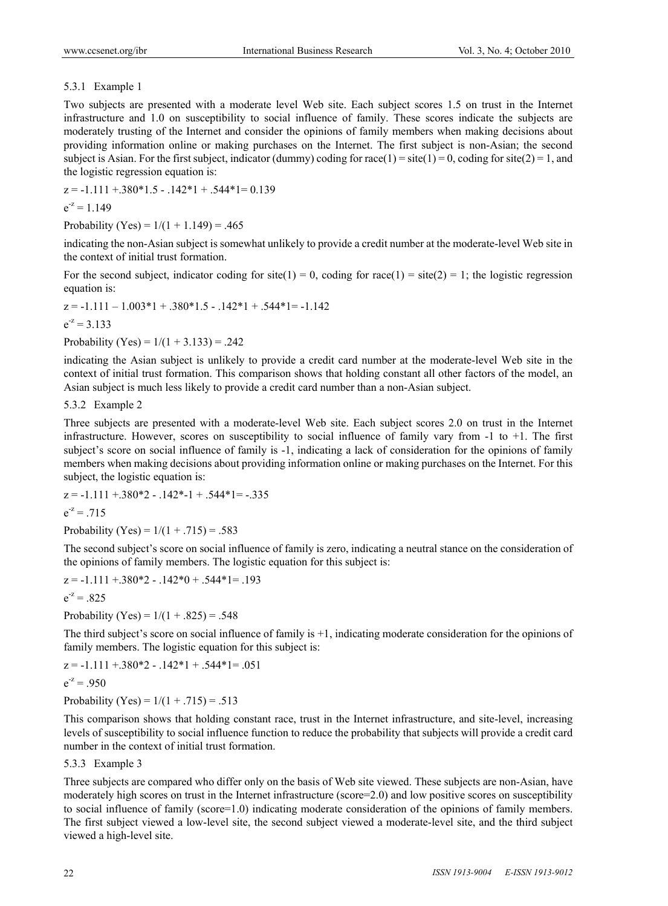# 5.3.1 Example 1

Two subjects are presented with a moderate level Web site. Each subject scores 1.5 on trust in the Internet infrastructure and 1.0 on susceptibility to social influence of family. These scores indicate the subjects are moderately trusting of the Internet and consider the opinions of family members when making decisions about providing information online or making purchases on the Internet. The first subject is non-Asian; the second subject is Asian. For the first subject, indicator (dummy) coding for race(1) = site(1) = 0, coding for site(2) = 1, and the logistic regression equation is:

 $z = -1.111 + 0.380 * 1.5 - 0.142 * 1 + 0.544 * 1 = 0.139$ 

$$
e^{-z} = 1.149
$$

Probability (Yes) =  $1/(1 + 1.149) = .465$ 

indicating the non-Asian subject is somewhat unlikely to provide a credit number at the moderate-level Web site in the context of initial trust formation.

For the second subject, indicator coding for site(1) = 0, coding for race(1) = site(2) = 1; the logistic regression equation is:

 $z = -1.111 - 1.003*1 + .380*1.5 - .142*1 + .544*1 = -1.142$  $e^{-z} = 3.133$ 

Probability (Yes) =  $1/(1 + 3.133) = .242$ 

indicating the Asian subject is unlikely to provide a credit card number at the moderate-level Web site in the context of initial trust formation. This comparison shows that holding constant all other factors of the model, an Asian subject is much less likely to provide a credit card number than a non-Asian subject.

5.3.2 Example 2

Three subjects are presented with a moderate-level Web site. Each subject scores 2.0 on trust in the Internet infrastructure. However, scores on susceptibility to social influence of family vary from -1 to +1. The first subject's score on social influence of family is -1, indicating a lack of consideration for the opinions of family members when making decisions about providing information online or making purchases on the Internet. For this subject, the logistic equation is:

 $z = -1.111 + .380*2 - .142*-1 + .544*1 = -.335$  $e^{-z} = .715$ 

Probability (Yes) =  $1/(1 + .715) = .583$ 

The second subject's score on social influence of family is zero, indicating a neutral stance on the consideration of the opinions of family members. The logistic equation for this subject is:

$$
z = -1.111 + .380*2 - .142*0 + .544*1 = .193
$$
  

$$
e^{z} = .825
$$

Probability (Yes) =  $1/(1 + .825) = .548$ 

The third subject's score on social influence of family is  $+1$ , indicating moderate consideration for the opinions of family members. The logistic equation for this subject is:

 $z = -1.111 + 0.380*2 - 0.142*1 + 0.544*1 = 0.051$  $e^{-z} = .950$ 

Probability (Yes) =  $1/(1 + .715) = .513$ 

This comparison shows that holding constant race, trust in the Internet infrastructure, and site-level, increasing levels of susceptibility to social influence function to reduce the probability that subjects will provide a credit card number in the context of initial trust formation.

5.3.3 Example 3

Three subjects are compared who differ only on the basis of Web site viewed. These subjects are non-Asian, have moderately high scores on trust in the Internet infrastructure (score=2.0) and low positive scores on susceptibility to social influence of family (score=1.0) indicating moderate consideration of the opinions of family members. The first subject viewed a low-level site, the second subject viewed a moderate-level site, and the third subject viewed a high-level site.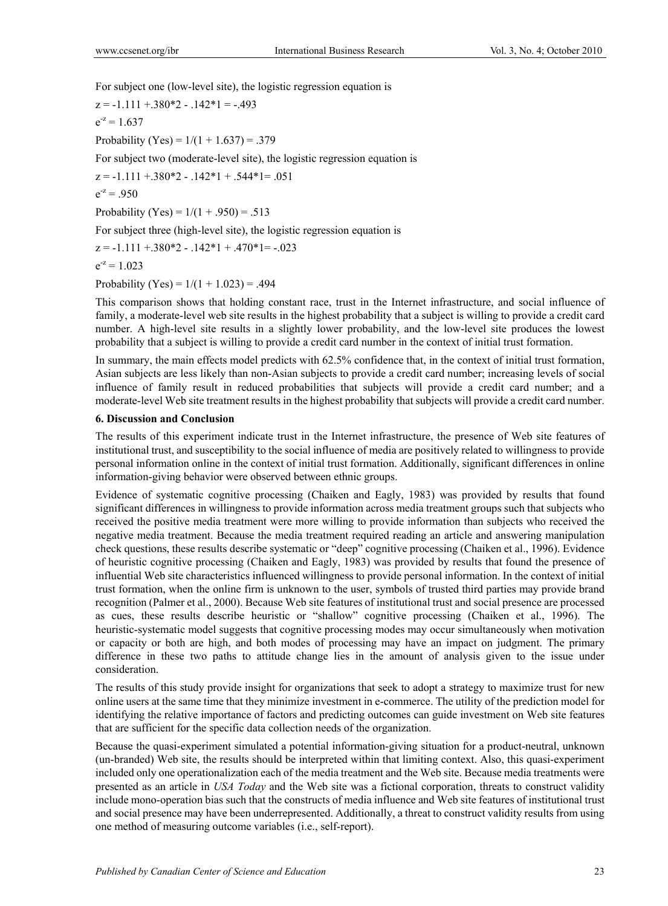For subject one (low-level site), the logistic regression equation is

 $z = -1.111 + 0.380*2 - 0.142*1 = -0.493$  $e^{-z} = 1.637$ Probability (Yes) =  $1/(1 + 1.637) = .379$ For subject two (moderate-level site), the logistic regression equation is  $z = -1.111 + .380*2 - .142*1 + .544*1 = .051$  $e^{-z} = .950$ Probability (Yes) =  $1/(1 + .950) = .513$ For subject three (high-level site), the logistic regression equation is  $z = -1.111 + 0.380 \times 2 - 0.142 \times 1 + 0.470 \times 1 = -0.023$ 

$$
e^{-z}=1.023
$$

Probability (Yes) =  $1/(1 + 1.023) = .494$ 

This comparison shows that holding constant race, trust in the Internet infrastructure, and social influence of family, a moderate-level web site results in the highest probability that a subject is willing to provide a credit card number. A high-level site results in a slightly lower probability, and the low-level site produces the lowest probability that a subject is willing to provide a credit card number in the context of initial trust formation.

In summary, the main effects model predicts with 62.5% confidence that, in the context of initial trust formation, Asian subjects are less likely than non-Asian subjects to provide a credit card number; increasing levels of social influence of family result in reduced probabilities that subjects will provide a credit card number; and a moderate-level Web site treatment results in the highest probability that subjects will provide a credit card number.

### **6. Discussion and Conclusion**

The results of this experiment indicate trust in the Internet infrastructure, the presence of Web site features of institutional trust, and susceptibility to the social influence of media are positively related to willingness to provide personal information online in the context of initial trust formation. Additionally, significant differences in online information-giving behavior were observed between ethnic groups.

Evidence of systematic cognitive processing (Chaiken and Eagly, 1983) was provided by results that found significant differences in willingness to provide information across media treatment groups such that subjects who received the positive media treatment were more willing to provide information than subjects who received the negative media treatment. Because the media treatment required reading an article and answering manipulation check questions, these results describe systematic or "deep" cognitive processing (Chaiken et al., 1996). Evidence of heuristic cognitive processing (Chaiken and Eagly, 1983) was provided by results that found the presence of influential Web site characteristics influenced willingness to provide personal information. In the context of initial trust formation, when the online firm is unknown to the user, symbols of trusted third parties may provide brand recognition (Palmer et al., 2000). Because Web site features of institutional trust and social presence are processed as cues, these results describe heuristic or "shallow" cognitive processing (Chaiken et al., 1996). The heuristic-systematic model suggests that cognitive processing modes may occur simultaneously when motivation or capacity or both are high, and both modes of processing may have an impact on judgment. The primary difference in these two paths to attitude change lies in the amount of analysis given to the issue under consideration.

The results of this study provide insight for organizations that seek to adopt a strategy to maximize trust for new online users at the same time that they minimize investment in e-commerce. The utility of the prediction model for identifying the relative importance of factors and predicting outcomes can guide investment on Web site features that are sufficient for the specific data collection needs of the organization.

Because the quasi-experiment simulated a potential information-giving situation for a product-neutral, unknown (un-branded) Web site, the results should be interpreted within that limiting context. Also, this quasi-experiment included only one operationalization each of the media treatment and the Web site. Because media treatments were presented as an article in *USA Today* and the Web site was a fictional corporation, threats to construct validity include mono-operation bias such that the constructs of media influence and Web site features of institutional trust and social presence may have been underrepresented. Additionally, a threat to construct validity results from using one method of measuring outcome variables (i.e., self-report).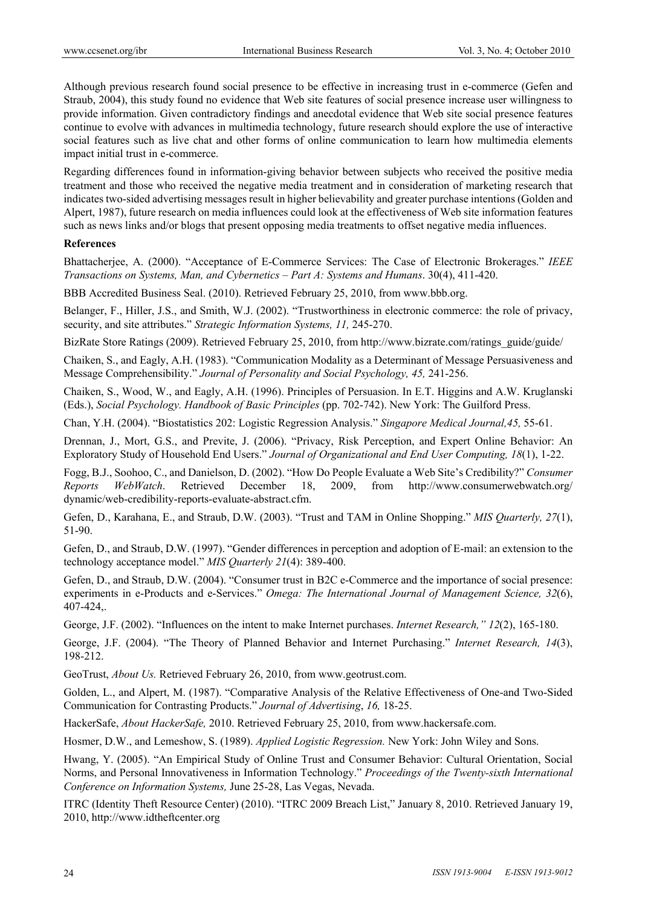Although previous research found social presence to be effective in increasing trust in e-commerce (Gefen and Straub, 2004), this study found no evidence that Web site features of social presence increase user willingness to provide information. Given contradictory findings and anecdotal evidence that Web site social presence features continue to evolve with advances in multimedia technology, future research should explore the use of interactive social features such as live chat and other forms of online communication to learn how multimedia elements impact initial trust in e-commerce.

Regarding differences found in information-giving behavior between subjects who received the positive media treatment and those who received the negative media treatment and in consideration of marketing research that indicates two-sided advertising messages result in higher believability and greater purchase intentions (Golden and Alpert, 1987), future research on media influences could look at the effectiveness of Web site information features such as news links and/or blogs that present opposing media treatments to offset negative media influences.

#### **References**

Bhattacherjee, A. (2000). "Acceptance of E-Commerce Services: The Case of Electronic Brokerages." *IEEE Transactions on Systems, Man, and Cybernetics – Part A: Systems and Humans*. 30(4), 411-420.

BBB Accredited Business Seal. (2010). Retrieved February 25, 2010, from www.bbb.org.

Belanger, F., Hiller, J.S., and Smith, W.J. (2002). "Trustworthiness in electronic commerce: the role of privacy, security, and site attributes." *Strategic Information Systems, 11,* 245-270.

BizRate Store Ratings (2009). Retrieved February 25, 2010, from http://www.bizrate.com/ratings\_guide/guide/

Chaiken, S., and Eagly, A.H. (1983). "Communication Modality as a Determinant of Message Persuasiveness and Message Comprehensibility." *Journal of Personality and Social Psychology, 45,* 241-256.

Chaiken, S., Wood, W., and Eagly, A.H. (1996). Principles of Persuasion. In E.T. Higgins and A.W. Kruglanski (Eds.), *Social Psychology. Handbook of Basic Principles* (pp. 702-742). New York: The Guilford Press.

Chan, Y.H. (2004). "Biostatistics 202: Logistic Regression Analysis." *Singapore Medical Journal,45,* 55-61.

Drennan, J., Mort, G.S., and Previte, J. (2006). "Privacy, Risk Perception, and Expert Online Behavior: An Exploratory Study of Household End Users." *Journal of Organizational and End User Computing, 18*(1), 1-22.

Fogg, B.J., Soohoo, C., and Danielson, D. (2002). "How Do People Evaluate a Web Site's Credibility?" *Consumer Reports WebWatch*. Retrieved December 18, 2009, from http://www.consumerwebwatch.org/ dynamic/web-credibility-reports-evaluate-abstract.cfm.

Gefen, D., Karahana, E., and Straub, D.W. (2003). "Trust and TAM in Online Shopping." *MIS Quarterly, 27*(1), 51-90.

Gefen, D., and Straub, D.W. (1997). "Gender differences in perception and adoption of E-mail: an extension to the technology acceptance model." *MIS Quarterly 21*(4): 389-400.

Gefen, D., and Straub, D.W. (2004). "Consumer trust in B2C e-Commerce and the importance of social presence: experiments in e-Products and e-Services." *Omega: The International Journal of Management Science, 32*(6), 407-424,.

George, J.F. (2002). "Influences on the intent to make Internet purchases. *Internet Research," 12*(2), 165-180.

George, J.F. (2004). "The Theory of Planned Behavior and Internet Purchasing." *Internet Research, 14*(3), 198-212.

GeoTrust, *About Us.* Retrieved February 26, 2010, from www.geotrust.com.

Golden, L., and Alpert, M. (1987). "Comparative Analysis of the Relative Effectiveness of One-and Two-Sided Communication for Contrasting Products." *Journal of Advertising*, *16,* 18-25.

HackerSafe, *About HackerSafe,* 2010. Retrieved February 25, 2010, from www.hackersafe.com.

Hosmer, D.W., and Lemeshow, S. (1989). *Applied Logistic Regression.* New York: John Wiley and Sons.

Hwang, Y. (2005). "An Empirical Study of Online Trust and Consumer Behavior: Cultural Orientation, Social Norms, and Personal Innovativeness in Information Technology." *Proceedings of the Twenty-sixth International Conference on Information Systems,* June 25-28, Las Vegas, Nevada.

ITRC (Identity Theft Resource Center) (2010). "ITRC 2009 Breach List," January 8, 2010. Retrieved January 19, 2010, http://www.idtheftcenter.org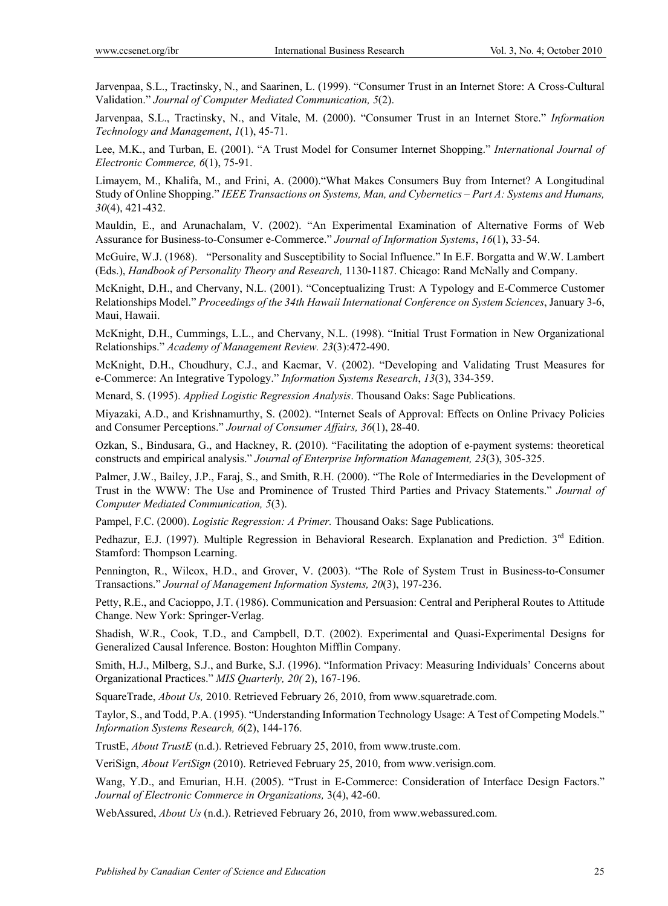Jarvenpaa, S.L., Tractinsky, N., and Saarinen, L. (1999). "Consumer Trust in an Internet Store: A Cross-Cultural Validation." *Journal of Computer Mediated Communication, 5*(2).

Jarvenpaa, S.L., Tractinsky, N., and Vitale, M. (2000). "Consumer Trust in an Internet Store." *Information Technology and Management*, *1*(1), 45-71.

Lee, M.K., and Turban, E. (2001). "A Trust Model for Consumer Internet Shopping." *International Journal of Electronic Commerce, 6*(1), 75-91.

Limayem, M., Khalifa, M., and Frini, A. (2000)."What Makes Consumers Buy from Internet? A Longitudinal Study of Online Shopping." *IEEE Transactions on Systems, Man, and Cybernetics – Part A: Systems and Humans, 30*(4), 421-432.

Mauldin, E., and Arunachalam, V. (2002). "An Experimental Examination of Alternative Forms of Web Assurance for Business-to-Consumer e-Commerce." *Journal of Information Systems*, *16*(1), 33-54.

McGuire, W.J. (1968). "Personality and Susceptibility to Social Influence." In E.F. Borgatta and W.W. Lambert (Eds.), *Handbook of Personality Theory and Research,* 1130-1187. Chicago: Rand McNally and Company.

McKnight, D.H., and Chervany, N.L. (2001). "Conceptualizing Trust: A Typology and E-Commerce Customer Relationships Model." *Proceedings of the 34th Hawaii International Conference on System Sciences*, January 3-6, Maui, Hawaii.

McKnight, D.H., Cummings, L.L., and Chervany, N.L. (1998). "Initial Trust Formation in New Organizational Relationships." *Academy of Management Review. 23*(3):472-490.

McKnight, D.H., Choudhury, C.J., and Kacmar, V. (2002). "Developing and Validating Trust Measures for e-Commerce: An Integrative Typology." *Information Systems Research*, *13*(3), 334-359.

Menard, S. (1995). *Applied Logistic Regression Analysis*. Thousand Oaks: Sage Publications.

Miyazaki, A.D., and Krishnamurthy, S. (2002). "Internet Seals of Approval: Effects on Online Privacy Policies and Consumer Perceptions." *Journal of Consumer Affairs, 36*(1), 28-40.

Ozkan, S., Bindusara, G., and Hackney, R. (2010). "Facilitating the adoption of e-payment systems: theoretical constructs and empirical analysis." *Journal of Enterprise Information Management, 23*(3), 305-325.

Palmer, J.W., Bailey, J.P., Faraj, S., and Smith, R.H. (2000). "The Role of Intermediaries in the Development of Trust in the WWW: The Use and Prominence of Trusted Third Parties and Privacy Statements." *Journal of Computer Mediated Communication, 5*(3).

Pampel, F.C. (2000). *Logistic Regression: A Primer.* Thousand Oaks: Sage Publications.

Pedhazur, E.J. (1997). Multiple Regression in Behavioral Research. Explanation and Prediction. 3<sup>rd</sup> Edition. Stamford: Thompson Learning.

Pennington, R., Wilcox, H.D., and Grover, V. (2003). "The Role of System Trust in Business-to-Consumer Transactions." *Journal of Management Information Systems, 20*(3), 197-236.

Petty, R.E., and Cacioppo, J.T. (1986). Communication and Persuasion: Central and Peripheral Routes to Attitude Change. New York: Springer-Verlag.

Shadish, W.R., Cook, T.D., and Campbell, D.T. (2002). Experimental and Quasi-Experimental Designs for Generalized Causal Inference. Boston: Houghton Mifflin Company.

Smith, H.J., Milberg, S.J., and Burke, S.J. (1996). "Information Privacy: Measuring Individuals' Concerns about Organizational Practices." *MIS Quarterly, 20(* 2), 167-196.

SquareTrade, *About Us,* 2010. Retrieved February 26, 2010, from www.squaretrade.com.

Taylor, S., and Todd, P.A. (1995). "Understanding Information Technology Usage: A Test of Competing Models." *Information Systems Research, 6*(2), 144-176.

TrustE, *About TrustE* (n.d.). Retrieved February 25, 2010, from www.truste.com.

VeriSign, *About VeriSign* (2010). Retrieved February 25, 2010, from www.verisign.com.

Wang, Y.D., and Emurian, H.H. (2005). "Trust in E-Commerce: Consideration of Interface Design Factors." *Journal of Electronic Commerce in Organizations,* 3(4), 42-60.

WebAssured, *About Us* (n.d.). Retrieved February 26, 2010, from www.webassured.com.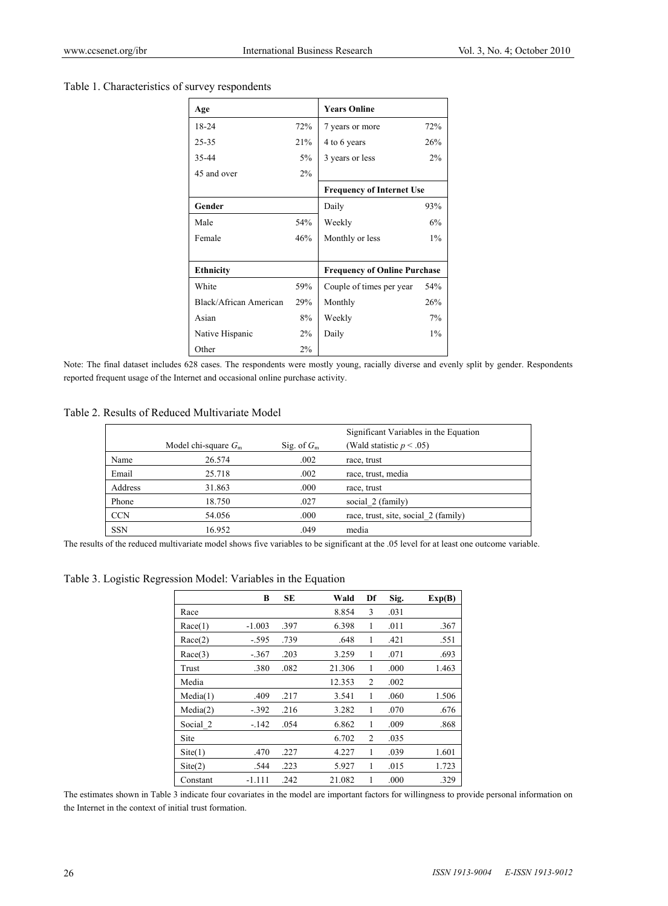Table 1. Characteristics of survey respondents

| Age                    |       | <b>Years Online</b>                 |       |  |
|------------------------|-------|-------------------------------------|-------|--|
| 18-24                  | 72%   | 7 years or more                     | 72%   |  |
| 25-35                  | 21%   | 4 to 6 years                        | 26%   |  |
| 35-44                  | 5%    | 3 years or less                     |       |  |
| 45 and over            | $2\%$ |                                     |       |  |
|                        |       | <b>Frequency of Internet Use</b>    |       |  |
| Gender                 |       | Daily                               | 93%   |  |
| Male                   | 54%   | Weekly                              | 6%    |  |
| Female                 | 46%   | Monthly or less                     | $1\%$ |  |
|                        |       |                                     |       |  |
| <b>Ethnicity</b>       |       | <b>Frequency of Online Purchase</b> |       |  |
| White                  | 59%   | Couple of times per year            | 54%   |  |
| Black/African American | 29%   | Monthly                             | 26%   |  |
| Asian                  | 8%    | Weekly                              | 7%    |  |
| Native Hispanic        | $2\%$ | Daily                               | $1\%$ |  |
| Other                  | $2\%$ |                                     |       |  |

Note: The final dataset includes 628 cases. The respondents were mostly young, racially diverse and evenly split by gender. Respondents reported frequent usage of the Internet and occasional online purchase activity.

Table 2. Results of Reduced Multivariate Model

|            |                       |               | Significant Variables in the Equation |  |  |
|------------|-----------------------|---------------|---------------------------------------|--|--|
|            | Model chi-square $Gm$ | Sig. of $G_m$ | (Wald statistic $p < .05$ )           |  |  |
| Name       | 26.574                | .002          | race, trust                           |  |  |
| Email      | 25.718                | .002          | race, trust, media                    |  |  |
| Address    | 31.863                | .000          | race, trust                           |  |  |
| Phone      | 18.750                | .027          | social 2 (family)                     |  |  |
| <b>CCN</b> | 54.056                | .000          | race, trust, site, social 2 (family)  |  |  |
| <b>SSN</b> | 16.952                | .049          | media                                 |  |  |

The results of the reduced multivariate model shows five variables to be significant at the .05 level for at least one outcome variable.

Table 3. Logistic Regression Model: Variables in the Equation

|          | B        | SЕ   | Wald   | Df             | Sig. | Exp(B) |
|----------|----------|------|--------|----------------|------|--------|
| Race     |          |      | 8.854  | 3              | .031 |        |
| Race(1)  | $-1.003$ | .397 | 6.398  | 1              | .011 | .367   |
| Race(2)  | $-.595$  | .739 | .648   | 1              | .421 | .551   |
| Race(3)  | $-.367$  | .203 | 3.259  | 1              | .071 | .693   |
| Trust    | .380     | .082 | 21.306 | 1              | .000 | 1.463  |
| Media    |          |      | 12.353 | $\overline{c}$ | .002 |        |
| Media(1) | .409     | .217 | 3.541  | 1              | .060 | 1.506  |
| Media(2) | $-.392$  | .216 | 3.282  | 1              | .070 | .676   |
| Social 2 | $-142$   | .054 | 6.862  | 1              | .009 | .868   |
| Site     |          |      | 6.702  | 2              | .035 |        |
| Site(1)  | .470     | .227 | 4.227  | 1              | .039 | 1.601  |
| Site(2)  | .544     | .223 | 5.927  | 1              | .015 | 1.723  |
| Constant | $-1.111$ | .242 | 21.082 | 1              | .000 | .329   |

The estimates shown in Table 3 indicate four covariates in the model are important factors for willingness to provide personal information on the Internet in the context of initial trust formation.